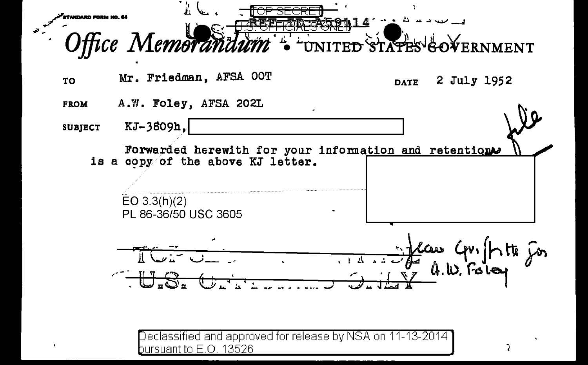

 $\overline{\rm D}$ eclassified and approved for release by NSA on 11-13-2014  $\overline{\rm D}$ bursuant to E.O. 13526

 $\overline{a}$